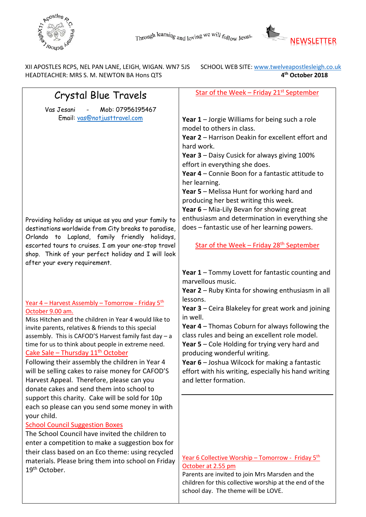



XII APOSTLES RCPS, NEL PAN LANE, LEIGH, WIGAN. WN7 5JS SCHOOL WEB SITE: www.twelveapostlesleigh.co.uk HEADTEACHER: MRS S. M. NEWTON BA Hons QTS **4th October 2018** 

| Crystal Blue Travels                                                      | Star of the Week - Friday 21 <sup>st</sup> September     |
|---------------------------------------------------------------------------|----------------------------------------------------------|
| Mob: 07956195467<br>Vas Jesani                                            |                                                          |
| Email: vas@notjusttravel.com                                              | Year $1$ – Jorgie Williams for being such a role         |
|                                                                           | model to others in class.                                |
|                                                                           |                                                          |
|                                                                           | Year 2 - Harrison Deakin for excellent effort and        |
|                                                                           | hard work.                                               |
|                                                                           | Year 3 - Daisy Cusick for always giving 100%             |
|                                                                           | effort in everything she does.                           |
|                                                                           | Year 4 - Connie Boon for a fantastic attitude to         |
|                                                                           | her learning.                                            |
|                                                                           | Year 5 - Melissa Hunt for working hard and               |
|                                                                           | producing her best writing this week.                    |
|                                                                           | Year 6 - Mia-Lily Bevan for showing great                |
| Providing holiday as unique as you and your family to                     | enthusiasm and determination in everything she           |
| destinations worldwide from City breaks to paradise,                      | does - fantastic use of her learning powers.             |
| Orlando to Lapland, family friendly holidays,                             |                                                          |
| escorted tours to cruises. I am your one-stop travel                      | Star of the Week - Friday 28 <sup>th</sup> September     |
| shop. Think of your perfect holiday and I will look                       |                                                          |
| after your every requirement.                                             |                                                          |
|                                                                           | Year 1 - Tommy Lovett for fantastic counting and         |
|                                                                           | marvellous music.                                        |
|                                                                           | Year 2 - Ruby Kinta for showing enthusiasm in all        |
|                                                                           | lessons.                                                 |
| <u> Year 4 – Harvest Assembly – Tomorrow - Friday 5th</u>                 | Year 3 - Ceira Blakeley for great work and joining       |
| October 9.00 am.<br>Miss Hitchen and the children in Year 4 would like to | in well.                                                 |
| invite parents, relatives & friends to this special                       | Year 4 - Thomas Coburn for always following the          |
| assembly. This is CAFOD'S Harvest family fast day - a                     | class rules and being an excellent role model.           |
| time for us to think about people in extreme need.                        | Year 5 - Cole Holding for trying very hard and           |
| Cake Sale - Thursday 11 <sup>th</sup> October                             | producing wonderful writing.                             |
| Following their assembly the children in Year 4                           | Year 6 - Joshua Wilcock for making a fantastic           |
| will be selling cakes to raise money for CAFOD'S                          | effort with his writing, especially his hand writing     |
| Harvest Appeal. Therefore, please can you                                 | and letter formation.                                    |
| donate cakes and send them into school to                                 |                                                          |
| support this charity. Cake will be sold for 10p                           |                                                          |
| each so please can you send some money in with                            |                                                          |
| your child.                                                               |                                                          |
| <b>School Council Suggestion Boxes</b>                                    |                                                          |
| The School Council have invited the children to                           |                                                          |
| enter a competition to make a suggestion box for                          |                                                          |
| their class based on an Eco theme: using recycled                         |                                                          |
| materials. Please bring them into school on Friday                        | <u>Year 6 Collective Worship – Tomorrow - Friday 5th</u> |
| 19 <sup>th</sup> October.                                                 | October at 2.55 pm                                       |
|                                                                           | Parents are invited to join Mrs Marsden and the          |
|                                                                           | children for this collective worship at the end of the   |
|                                                                           | school day. The theme will be LOVE.                      |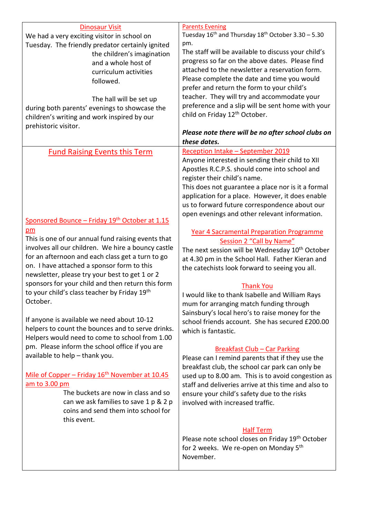| <b>Dinosaur Visit</b>                                      | <b>Parents Evening</b>                                       |
|------------------------------------------------------------|--------------------------------------------------------------|
| We had a very exciting visitor in school on                | Tuesday $16^{th}$ and Thursday $18^{th}$ October 3.30 – 5.30 |
| Tuesday. The friendly predator certainly ignited           | pm.                                                          |
| the children's imagination                                 | The staff will be available to discuss your child's          |
| and a whole host of                                        | progress so far on the above dates. Please find              |
| curriculum activities                                      | attached to the newsletter a reservation form.               |
| followed.                                                  | Please complete the date and time you would                  |
|                                                            | prefer and return the form to your child's                   |
| The hall will be set up                                    | teacher. They will try and accommodate your                  |
| during both parents' evenings to showcase the              | preference and a slip will be sent home with your            |
|                                                            | child on Friday 12 <sup>th</sup> October.                    |
| children's writing and work inspired by our                |                                                              |
| prehistoric visitor.                                       |                                                              |
|                                                            | Please note there will be no after school clubs on           |
|                                                            | these dates.                                                 |
| <b>Fund Raising Events this Term</b>                       | Reception Intake - September 2019                            |
|                                                            | Anyone interested in sending their child to XII              |
|                                                            | Apostles R.C.P.S. should come into school and                |
|                                                            | register their child's name.                                 |
|                                                            | This does not guarantee a place nor is it a formal           |
|                                                            | application for a place. However, it does enable             |
|                                                            | us to forward future correspondence about our                |
|                                                            | open evenings and other relevant information.                |
| Sponsored Bounce - Friday 19 <sup>th</sup> October at 1.15 |                                                              |
| pm                                                         | <b>Year 4 Sacramental Preparation Programme</b>              |
| This is one of our annual fund raising events that         | Session 2 "Call by Name"                                     |
| involves all our children. We hire a bouncy castle         | The next session will be Wednesday 10 <sup>th</sup> October  |
| for an afternoon and each class get a turn to go           | at 4.30 pm in the School Hall. Father Kieran and             |
| on. I have attached a sponsor form to this                 |                                                              |
| newsletter, please try your best to get 1 or 2             | the catechists look forward to seeing you all.               |
| sponsors for your child and then return this form          |                                                              |
| to your child's class teacher by Friday 19th               | <b>Thank You</b>                                             |
|                                                            | I would like to thank Isabelle and William Rays              |
| October.                                                   | mum for arranging match funding through                      |
|                                                            | Sainsbury's local hero's to raise money for the              |
| If anyone is available we need about 10-12                 | school friends account. She has secured £200.00              |
| helpers to count the bounces and to serve drinks.          | which is fantastic.                                          |
| Helpers would need to come to school from 1.00             |                                                              |
| pm. Please inform the school office if you are             | <b>Breakfast Club - Car Parking</b>                          |
| available to help - thank you.                             | Please can I remind parents that if they use the             |
|                                                            | breakfast club, the school car park can only be              |
| Mile of Copper - Friday 16 <sup>th</sup> November at 10.45 | used up to 8.00 am. This is to avoid congestion as           |
| am to 3.00 pm                                              |                                                              |
| The buckets are now in class and so                        | staff and deliveries arrive at this time and also to         |
|                                                            | ensure your child's safety due to the risks                  |
| can we ask families to save 1 p & 2 p                      | involved with increased traffic.                             |
| coins and send them into school for                        |                                                              |
| this event.                                                |                                                              |
|                                                            | <b>Half Term</b>                                             |
|                                                            | Please note school closes on Friday 19th October             |
|                                                            | for 2 weeks. We re-open on Monday 5 <sup>th</sup>            |
|                                                            | November.                                                    |
|                                                            |                                                              |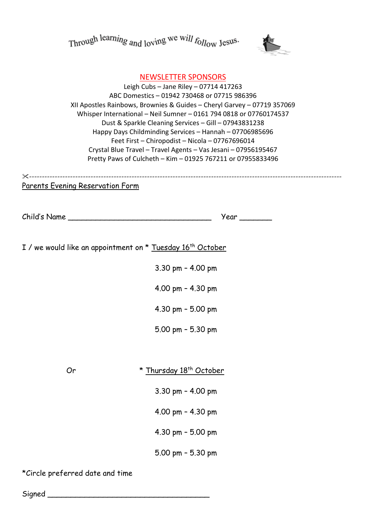Through learning and loving we will follow Jesus.



## NEWSLETTER SPONSORS

Leigh Cubs – Jane Riley – 07714 417263 ABC Domestics – 01942 730468 or 07715 986396 XII Apostles Rainbows, Brownies & Guides – Cheryl Garvey – 07719 357069 Whisper International – Neil Sumner – 0161 794 0818 or 07760174537 Dust & Sparkle Cleaning Services – Gill – 07943831238 Happy Days Childminding Services – Hannah – 07706985696 Feet First – Chiropodist – Nicola – 07767696014 Crystal Blue Travel – Travel Agents – Vas Jesani – 07956195467 Pretty Paws of Culcheth – Kim – 01925 767211 or 07955833496

--------------------------------------------------------------------------------------------------------------------------

## Parents Evening Reservation Form

| Child's Name __                                                        | Year _______            |  |
|------------------------------------------------------------------------|-------------------------|--|
|                                                                        |                         |  |
| I / we would like an appointment on * Tuesday 16 <sup>th</sup> October |                         |  |
|                                                                        | 3.30 pm - 4.00 pm       |  |
|                                                                        | 4.00 pm - 4.30 pm       |  |
|                                                                        | 4.30 pm - 5.00 pm       |  |
|                                                                        | 5.00 pm - 5.30 pm       |  |
|                                                                        |                         |  |
| Or                                                                     | * Thursday 18th October |  |
|                                                                        | 3.30 pm - 4.00 pm       |  |
|                                                                        | 4.00 pm - 4.30 pm       |  |
|                                                                        | 4.30 pm - 5.00 pm       |  |
|                                                                        | 5.00 pm - 5.30 pm       |  |

\*Circle preferred date and time

 $Signed$   $\qquad \qquad$